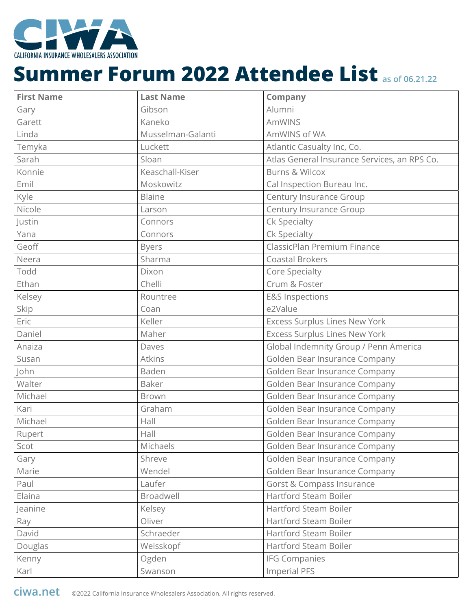

| <b>First Name</b> | <b>Last Name</b>  | <b>Company</b>                               |
|-------------------|-------------------|----------------------------------------------|
| Gary              | Gibson            | Alumni                                       |
| Garett            | Kaneko            | <b>AmWINS</b>                                |
| Linda             | Musselman-Galanti | AmWINS of WA                                 |
| Temyka            | Luckett           | Atlantic Casualty Inc, Co.                   |
| Sarah             | Sloan             | Atlas General Insurance Services, an RPS Co. |
| Konnie            | Keaschall-Kiser   | <b>Burns &amp; Wilcox</b>                    |
| Emil              | Moskowitz         | Cal Inspection Bureau Inc.                   |
| Kyle              | <b>Blaine</b>     | Century Insurance Group                      |
| Nicole            | Larson            | Century Insurance Group                      |
| Justin            | Connors           | Ck Specialty                                 |
| Yana              | Connors           | Ck Specialty                                 |
| Geoff             | <b>Byers</b>      | ClassicPlan Premium Finance                  |
| Neera             | Sharma            | <b>Coastal Brokers</b>                       |
| Todd              | Dixon             | Core Specialty                               |
| Ethan             | Chelli            | Crum & Foster                                |
| Kelsey            | Rountree          | <b>E&amp;S Inspections</b>                   |
| Skip              | Coan              | e2Value                                      |
| Eric              | Keller            | Excess Surplus Lines New York                |
| Daniel            | Maher             | <b>Excess Surplus Lines New York</b>         |
| Anaiza            | Daves             | Global Indemnity Group / Penn America        |
| Susan             | <b>Atkins</b>     | Golden Bear Insurance Company                |
| John              | Baden             | Golden Bear Insurance Company                |
| Walter            | <b>Baker</b>      | Golden Bear Insurance Company                |
| Michael           | <b>Brown</b>      | Golden Bear Insurance Company                |
| Kari              | Graham            | Golden Bear Insurance Company                |
| Michael           | Hall              | Golden Bear Insurance Company                |
| Rupert            | Hall              | Golden Bear Insurance Company                |
| Scot              | Michaels          | Golden Bear Insurance Company                |
| Gary              | Shreve            | Golden Bear Insurance Company                |
| Marie             | Wendel            | Golden Bear Insurance Company                |
| Paul              | Laufer            | <b>Gorst &amp; Compass Insurance</b>         |
| Elaina            | Broadwell         | <b>Hartford Steam Boiler</b>                 |
| Jeanine           | Kelsey            | Hartford Steam Boiler                        |
| Ray               | Oliver            | Hartford Steam Boiler                        |
| David             | Schraeder         | Hartford Steam Boiler                        |
| Douglas           | Weisskopf         | Hartford Steam Boiler                        |
| Kenny             | Ogden             | <b>IFG Companies</b>                         |
| Karl              | Swanson           | <b>Imperial PFS</b>                          |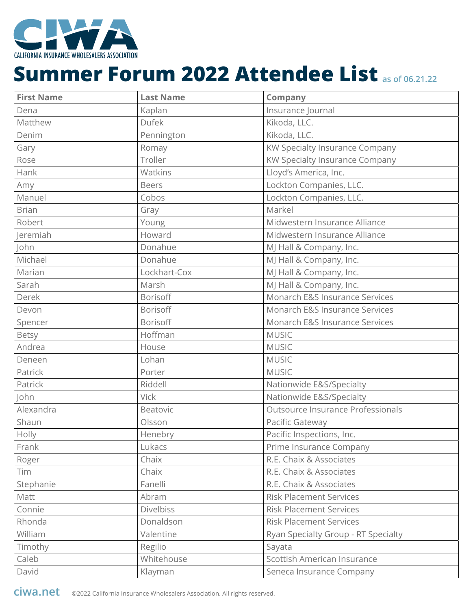

| <b>First Name</b> | <b>Last Name</b> | <b>Company</b>                      |
|-------------------|------------------|-------------------------------------|
| Dena              | Kaplan           | Insurance Journal                   |
| Matthew           | <b>Dufek</b>     | Kikoda, LLC.                        |
| Denim             | Pennington       | Kikoda, LLC.                        |
| Gary              | Romay            | KW Specialty Insurance Company      |
| Rose              | Troller          | KW Specialty Insurance Company      |
| Hank              | Watkins          | Lloyd's America, Inc.               |
| Amy               | <b>Beers</b>     | Lockton Companies, LLC.             |
| Manuel            | Cobos            | Lockton Companies, LLC.             |
| <b>Brian</b>      | Gray             | Markel                              |
| Robert            | Young            | Midwestern Insurance Alliance       |
| Jeremiah          | Howard           | Midwestern Insurance Alliance       |
| John              | Donahue          | MJ Hall & Company, Inc.             |
| Michael           | Donahue          | MJ Hall & Company, Inc.             |
| Marian            | Lockhart-Cox     | MJ Hall & Company, Inc.             |
| Sarah             | Marsh            | MJ Hall & Company, Inc.             |
| Derek             | <b>Borisoff</b>  | Monarch E&S Insurance Services      |
| Devon             | Borisoff         | Monarch E&S Insurance Services      |
| Spencer           | Borisoff         | Monarch E&S Insurance Services      |
| Betsy             | Hoffman          | <b>MUSIC</b>                        |
| Andrea            | House            | <b>MUSIC</b>                        |
| Deneen            | Lohan            | <b>MUSIC</b>                        |
| Patrick           | Porter           | <b>MUSIC</b>                        |
| Patrick           | Riddell          | Nationwide E&S/Specialty            |
| John              | <b>Vick</b>      | Nationwide E&S/Specialty            |
| Alexandra         | Beatovic         | Outsource Insurance Professionals   |
| Shaun             | Olsson           | Pacific Gateway                     |
| Holly             | Henebry          | Pacific Inspections, Inc.           |
| Frank             | Lukacs           | Prime Insurance Company             |
| Roger             | Chaix            | R.E. Chaix & Associates             |
| Tim               | Chaix            | R.E. Chaix & Associates             |
| Stephanie         | Fanelli          | R.E. Chaix & Associates             |
| Matt              | Abram            | <b>Risk Placement Services</b>      |
| Connie            | <b>Divelbiss</b> | <b>Risk Placement Services</b>      |
| Rhonda            | Donaldson        | <b>Risk Placement Services</b>      |
| William           | Valentine        | Ryan Specialty Group - RT Specialty |
| Timothy           | Regilio          | Sayata                              |
| Caleb             | Whitehouse       | Scottish American Insurance         |
| David             | Klayman          | Seneca Insurance Company            |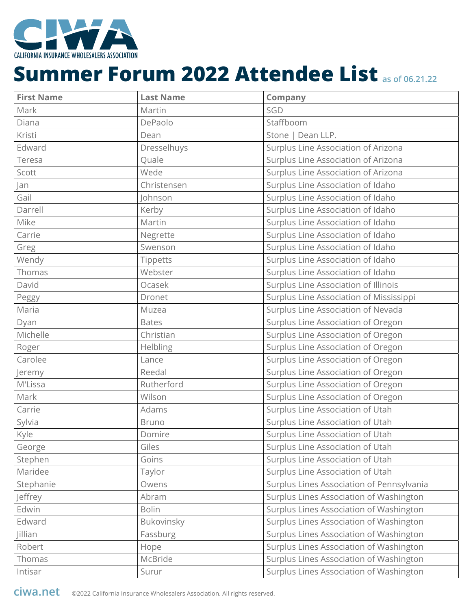

| <b>First Name</b> | <b>Last Name</b> | <b>Company</b>                            |
|-------------------|------------------|-------------------------------------------|
| Mark              | Martin           | SGD                                       |
| Diana             | DePaolo          | Staffboom                                 |
| Kristi            | Dean             | Stone   Dean LLP.                         |
| Edward            | Dresselhuys      | Surplus Line Association of Arizona       |
| Teresa            | Quale            | Surplus Line Association of Arizona       |
| Scott             | Wede             | Surplus Line Association of Arizona       |
| Jan               | Christensen      | Surplus Line Association of Idaho         |
| Gail              | Iohnson          | Surplus Line Association of Idaho         |
| Darrell           | Kerby            | Surplus Line Association of Idaho         |
| Mike              | Martin           | Surplus Line Association of Idaho         |
| Carrie            | Negrette         | Surplus Line Association of Idaho         |
| Greg              | Swenson          | Surplus Line Association of Idaho         |
| Wendy             | Tippetts         | Surplus Line Association of Idaho         |
| Thomas            | Webster          | Surplus Line Association of Idaho         |
| David             | Ocasek           | Surplus Line Association of Illinois      |
| Peggy             | Dronet           | Surplus Line Association of Mississippi   |
| Maria             | Muzea            | Surplus Line Association of Nevada        |
| Dyan              | <b>Bates</b>     | Surplus Line Association of Oregon        |
| Michelle          | Christian        | Surplus Line Association of Oregon        |
| Roger             | Helbling         | Surplus Line Association of Oregon        |
| Carolee           | Lance            | Surplus Line Association of Oregon        |
| Jeremy            | Reedal           | Surplus Line Association of Oregon        |
| M'Lissa           | Rutherford       | Surplus Line Association of Oregon        |
| Mark              | Wilson           | Surplus Line Association of Oregon        |
| Carrie            | Adams            | Surplus Line Association of Utah          |
| Sylvia            | <b>Bruno</b>     | Surplus Line Association of Utah          |
| Kyle              | Domire           | Surplus Line Association of Utah          |
| George            | Giles            | Surplus Line Association of Utah          |
| Stephen           | Goins            | Surplus Line Association of Utah          |
| Maridee           | Taylor           | Surplus Line Association of Utah          |
| Stephanie         | Owens            | Surplus Lines Association of Pennsylvania |
| Jeffrey           | Abram            | Surplus Lines Association of Washington   |
| Edwin             | <b>Bolin</b>     | Surplus Lines Association of Washington   |
| Edward            | Bukovinsky       | Surplus Lines Association of Washington   |
| <b>Jillian</b>    | Fassburg         | Surplus Lines Association of Washington   |
| Robert            | Hope             | Surplus Lines Association of Washington   |
| Thomas            | McBride          | Surplus Lines Association of Washington   |
| Intisar           | Surur            | Surplus Lines Association of Washington   |

**ciwa.net** ©2022 California Insurance Wholesalers Association. All rights reserved.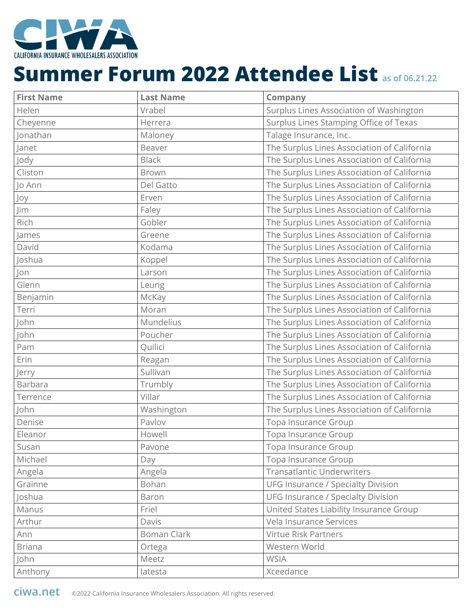

| <b>First Name</b> | <b>Last Name</b>   | <b>Company</b>                              |
|-------------------|--------------------|---------------------------------------------|
| Helen             | Vrabel             | Surplus Lines Association of Washington     |
| Cheyenne          | Herrera            | Surplus Lines Stamping Office of Texas      |
| Jonathan          | Maloney            | Talage Insurance, Inc.                      |
| Janet             | Beaver             | The Surplus Lines Association of California |
| Jody              | <b>Black</b>       | The Surplus Lines Association of California |
| Cliston           | <b>Brown</b>       | The Surplus Lines Association of California |
| Jo Ann            | Del Gatto          | The Surplus Lines Association of California |
| Joy               | Erven              | The Surplus Lines Association of California |
| Jim               | Faley              | The Surplus Lines Association of California |
| Rich              | Gobler             | The Surplus Lines Association of California |
| James             | Greene             | The Surplus Lines Association of California |
| David             | Kodama             | The Surplus Lines Association of California |
| Joshua            | Koppel             | The Surplus Lines Association of California |
| Jon               | Larson             | The Surplus Lines Association of California |
| Glenn             | Leung              | The Surplus Lines Association of California |
| Benjamin          | McKay              | The Surplus Lines Association of California |
| Terri             | Moran              | The Surplus Lines Association of California |
| John              | Mundelius          | The Surplus Lines Association of California |
| John              | Poucher            | The Surplus Lines Association of California |
| Pam               | Quilici            | The Surplus Lines Association of California |
| Erin              | Reagan             | The Surplus Lines Association of California |
| Jerry             | Sullivan           | The Surplus Lines Association of California |
| <b>Barbara</b>    | Trumbly            | The Surplus Lines Association of California |
| Terrence          | Villar             | The Surplus Lines Association of California |
| John              | Washington         | The Surplus Lines Association of California |
| Denise            | Pavlov             | Topa Insurance Group                        |
| Eleanor           | Howell             | Topa Insurance Group                        |
| Susan             | Pavone             | Topa Insurance Group                        |
| Michael           | Day                | <b>Topa Insurance Group</b>                 |
| Angela            | Angela             | <b>Transatlantic Underwriters</b>           |
| Grainne           | Bohan              | <b>UFG Insurance / Specialty Division</b>   |
| Joshua            | Baron              | <b>UFG Insurance / Specialty Division</b>   |
| Manus             | Friel              | United States Liability Insurance Group     |
| Arthur            | Davis              | Vela Insurance Services                     |
| Ann               | <b>Boman Clark</b> | <b>Virtue Risk Partners</b>                 |
| <b>Briana</b>     | Ortega             | Western World                               |
| John              | Meetz              | <b>WSIA</b>                                 |
| Anthony           | latesta            | Xceedance                                   |